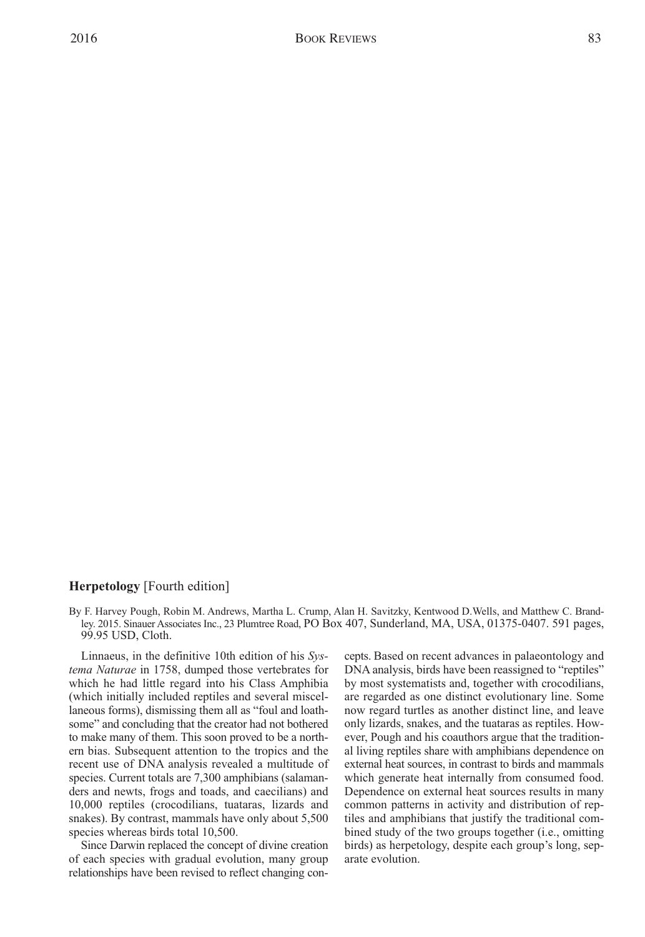## **Herpetology** [Fourth edition]

By F. Harvey Pough, Robin M. Andrews, Martha L. Crump, Alan H. Savitzky, Kentwood D.Wells, and Matthew C. Brandley. 2015. Sinauer Associates Inc., 23 Plumtree Road, PO Box 407, Sunderland, MA, USA, 01375-0407. 591 pages, 99.95 USD, Cloth.

Linnaeus, in the definitive 10th edition of his *Systema Naturae* in 1758, dumped those vertebrates for which he had little regard into his Class Amphibia (which initially included reptiles and several miscellaneous forms), dismissing them all as "foul and loathsome" and concluding that the creator had not bothered to make many of them. This soon proved to be a northern bias. Subsequent attention to the tropics and the recent use of DNA analysis revealed a multitude of species. Current totals are 7,300 amphibians (salamanders and newts, frogs and toads, and caecilians) and 10,000 reptiles (crocodilians, tuataras, lizards and snakes). By contrast, mammals have only about 5,500 species whereas birds total 10,500.

Since Darwin replaced the concept of divine creation of each species with gradual evolution, many group relationships have been revised to reflect changing concepts. Based on recent advances in palaeontology and DNA analysis, birds have been reassigned to "reptiles" by most systematists and, together with crocodilians, are regarded as one distinct evolutionary line. Some now regard turtles as another distinct line, and leave only lizards, snakes, and the tuataras as reptiles. However, Pough and his coauthors argue that the traditional living reptiles share with amphibians dependence on external heat sources, in contrast to birds and mammals which generate heat internally from consumed food. Dependence on external heat sources results in many common patterns in activity and distribution of reptiles and amphibians that justify the traditional combined study of the two groups together (i.e., omitting birds) as herpetology, despite each group's long, separate evolution.